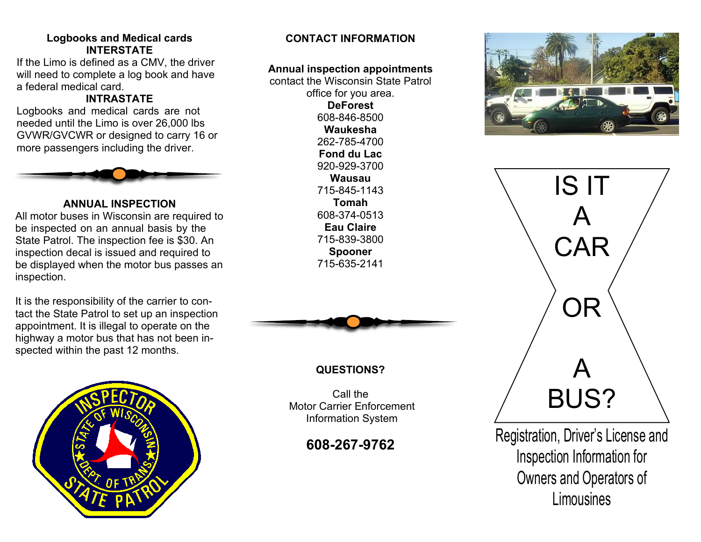#### **Logbooks and Medical cards INTERSTATE**

If the Limo is defined as a CMV, the driver will need to complete a log book and have a federal medical card.

# **INTRASTATE**

Logbooks and medical cards are not needed until the Limo is over 26,000 lbs GVWR/GVCWR or designed to carry 16 or more passengers including the driver.



# **ANNUAL INSPECTION**

All motor buses in Wisconsin are required to be inspected on an annual basis by the State Patrol. The inspection fee is \$30. An inspection decal is issued and required to be displayed when the motor bus passes an inspection.

It is the responsibility of the carrier to contact the State Patrol to set up an inspection appointment. It is illegal to operate on the highway a motor bus that has not been in spected within the past 12 months.



# **CONTACT INFORMATION**

#### **Annual inspection appointments**

contact the Wisconsin State Patrol office for you area. **DeForest** 608-846-8500 **Waukesha** 262-785-4700 **Fond du Lac** 920-929-3700 **Wausau** 715-845-1143 **Tomah** 608-374-0513 **Eau Claire** 715-839-3800 **Spooner** 715-635-2141



# **QUESTIONS?**

Call the Motor Carrier Enforcement Information System

# **608-267-9762**





Registration, Driver's License and Inspection Information for Owners and Operators of **Limousines**